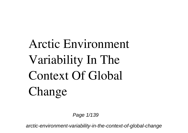## **Arctic Environment Variability In The Context Of Global Change**

Page 1/139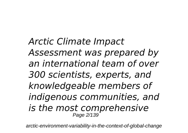*Arctic Climate Impact Assessment was prepared by an international team of over 300 scientists, experts, and knowledgeable members of indigenous communities, and is the most comprehensive* Page 2/139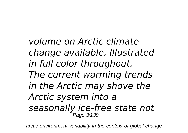*volume on Arctic climate change available. Illustrated in full color throughout. The current warming trends in the Arctic may shove the Arctic system into a seasonally ice-free state not* Page 3/139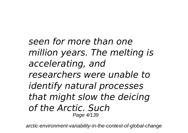*seen for more than one million years. The melting is accelerating, and researchers were unable to identify natural processes that might slow the deicing of the Arctic. Such* Page 4/139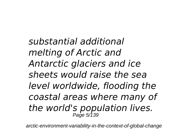*substantial additional melting of Arctic and Antarctic glaciers and ice sheets would raise the sea level worldwide, flooding the coastal areas where many of the world's population lives.* Page 5/139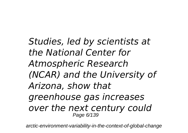*Studies, led by scientists at the National Center for Atmospheric Research (NCAR) and the University of Arizona, show that greenhouse gas increases over the next century could* Page 6/139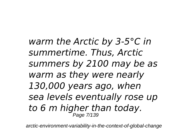*warm the Arctic by 3-5°C in summertime. Thus, Arctic summers by 2100 may be as warm as they were nearly 130,000 years ago, when sea levels eventually rose up to 6 m higher than today.* Page 7/139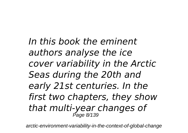*In this book the eminent authors analyse the ice cover variability in the Arctic Seas during the 20th and early 21st centuries. In the first two chapters, they show that multi-year changes of* Page 8/139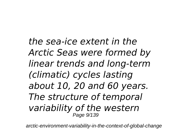*the sea-ice extent in the Arctic Seas were formed by linear trends and long-term (climatic) cycles lasting about 10, 20 and 60 years. The structure of temporal variability of the western* Page 9/139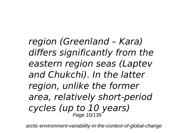*region (Greenland – Kara) differs significantly from the eastern region seas (Laptev and Chukchi). In the latter region, unlike the former area, relatively short-period cycles (up to 10 years)* Page 10/139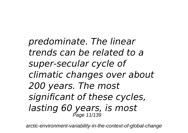*predominate. The linear trends can be related to a super-secular cycle of climatic changes over about 200 years. The most significant of these cycles, lasting 60 years, is most* Page 11/139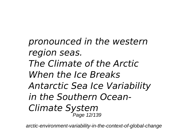*pronounced in the western region seas. The Climate of the Arctic When the Ice Breaks Antarctic Sea Ice Variability in the Southern Ocean-Climate System* Page 12/139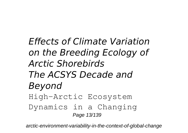*Effects of Climate Variation on the Breeding Ecology of Arctic Shorebirds The ACSYS Decade and Beyond* High-Arctic Ecosystem Dynamics in a Changing Page 13/139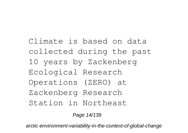Climate is based on data collected during the past 10 years by Zackenberg Ecological Research Operations (ZERO) at Zackenberg Research Station in Northeast

Page 14/139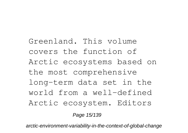Greenland. This volume covers the function of Arctic ecosystems based on the most comprehensive long-term data set in the world from a well-defined Arctic ecosystem. Editors

Page 15/139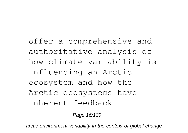offer a comprehensive and authoritative analysis of how climate variability is influencing an Arctic ecosystem and how the Arctic ecosystems have inherent feedback

Page 16/139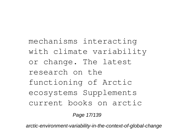mechanisms interacting with climate variability or change. The latest research on the functioning of Arctic ecosystems Supplements current books on arctic

Page 17/139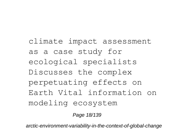climate impact assessment as a case study for ecological specialists Discusses the complex perpetuating effects on Earth Vital information on modeling ecosystem

Page 18/139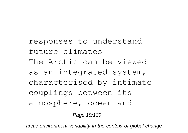responses to understand future climates The Arctic can be viewed as an integrated system, characterised by intimate couplings between its atmosphere, ocean and

Page 19/139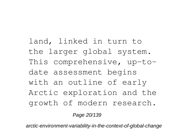land, linked in turn to the larger global system. This comprehensive, up-todate assessment begins with an outline of early Arctic exploration and the growth of modern research.

Page 20/139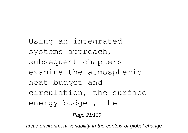Using an integrated systems approach, subsequent chapters examine the atmospheric heat budget and circulation, the surface energy budget, the

Page 21/139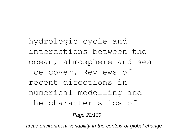hydrologic cycle and interactions between the ocean, atmosphere and sea ice cover. Reviews of recent directions in numerical modelling and the characteristics of

Page 22/139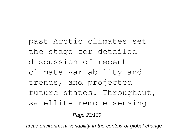past Arctic climates set the stage for detailed discussion of recent climate variability and trends, and projected future states. Throughout, satellite remote sensing

Page 23/139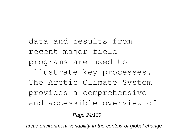data and results from recent major field programs are used to illustrate key processes. The Arctic Climate System provides a comprehensive and accessible overview of

Page 24/139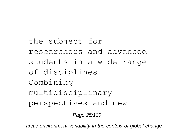the subject for researchers and advanced students in a wide range of disciplines. Combining multidisciplinary perspectives and new

Page 25/139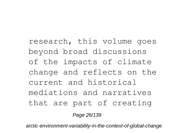research, this volume goes beyond broad discussions of the impacts of climate change and reflects on the current and historical mediations and narratives that are part of creating Page 26/139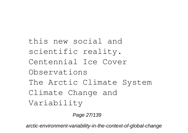this new social and scientific reality. Centennial Ice Cover Observations The Arctic Climate System Climate Change and Variability

Page 27/139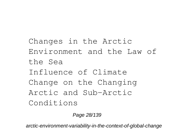Changes in the Arctic Environment and the Law of the Sea Influence of Climate Change on the Changing Arctic and Sub-Arctic Conditions

Page 28/139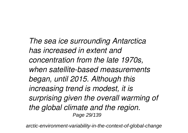*The sea ice surrounding Antarctica has increased in extent and concentration from the late 1970s, when satellite-based measurements began, until 2015. Although this increasing trend is modest, it is surprising given the overall warming of the global climate and the region.* Page 29/139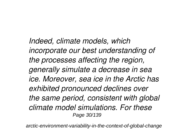*Indeed, climate models, which incorporate our best understanding of the processes affecting the region, generally simulate a decrease in sea ice. Moreover, sea ice in the Arctic has exhibited pronounced declines over the same period, consistent with global climate model simulations. For these* Page 30/139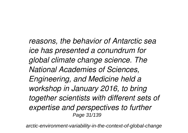*reasons, the behavior of Antarctic sea ice has presented a conundrum for global climate change science. The National Academies of Sciences, Engineering, and Medicine held a workshop in January 2016, to bring together scientists with different sets of expertise and perspectives to further* Page 31/139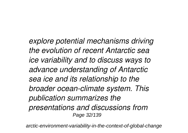*explore potential mechanisms driving the evolution of recent Antarctic sea ice variability and to discuss ways to advance understanding of Antarctic sea ice and its relationship to the broader ocean-climate system. This publication summarizes the presentations and discussions from* Page 32/139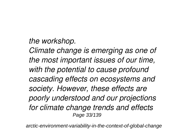## *the workshop.*

*Climate change is emerging as one of the most important issues of our time, with the potential to cause profound cascading effects on ecosystems and society. However, these effects are poorly understood and our projections for climate change trends and effects* Page 33/139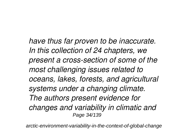*have thus far proven to be inaccurate. In this collection of 24 chapters, we present a cross-section of some of the most challenging issues related to oceans, lakes, forests, and agricultural systems under a changing climate. The authors present evidence for changes and variability in climatic and* Page 34/139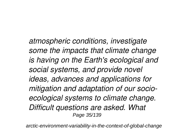*atmospheric conditions, investigate some the impacts that climate change is having on the Earth's ecological and social systems, and provide novel ideas, advances and applications for mitigation and adaptation of our socioecological systems to climate change. Difficult questions are asked. What* Page 35/139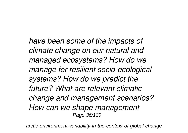*have been some of the impacts of climate change on our natural and managed ecosystems? How do we manage for resilient socio-ecological systems? How do we predict the future? What are relevant climatic change and management scenarios? How can we shape management* Page 36/139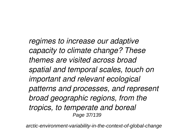*regimes to increase our adaptive capacity to climate change? These themes are visited across broad spatial and temporal scales, touch on important and relevant ecological patterns and processes, and represent broad geographic regions, from the tropics, to temperate and boreal* Page 37/139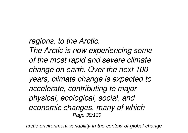#### *regions, to the Arctic.*

*The Arctic is now experiencing some of the most rapid and severe climate change on earth. Over the next 100 years, climate change is expected to accelerate, contributing to major physical, ecological, social, and economic changes, many of which* Page 38/139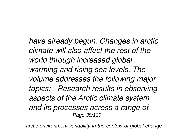*have already begun. Changes in arctic climate will also affect the rest of the world through increased global warming and rising sea levels. The volume addresses the following major topics: - Research results in observing aspects of the Arctic climate system and its processes across a range of* Page 39/139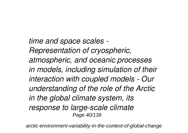*time and space scales - Representation of cryospheric, atmospheric, and oceanic processes in models, including simulation of their interaction with coupled models - Our understanding of the role of the Arctic in the global climate system, its response to large-scale climate* Page 40/139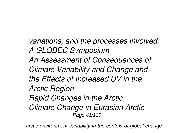*variations, and the processes involved. A GLOBEC Symposium An Assessment of Consequences of Climate Variability and Change and the Effects of Increased UV in the Arctic Region Rapid Changes in the Arctic Climate Change in Eurasian Arctic* Page 41/139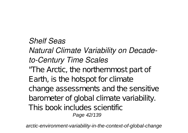#### *Shelf Seas*

#### *Natural Climate Variability on Decadeto-Century Time Scales*

"The Arctic, the northernmost part of Earth, is the hotspot for climate change assessments and the sensitive barometer of global climate variability. This book includes scientific Page 42/139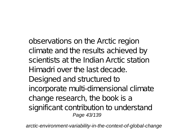observations on the Arctic region climate and the results achieved by scientists at the Indian Arctic station Himadri over the last decade. Designed and structured to incorporate multi-dimensional climate change research, the book is a significant contribution to understand Page 43/139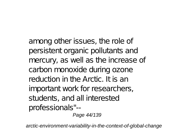among other issues, the role of persistent organic pollutants and mercury, as well as the increase of carbon monoxide during ozone reduction in the Arctic. It is an important work for researchers, students, and all interested professionals"--

Page 44/139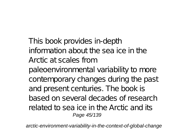This book provides in-depth information about the sea ice in the Arctic at scales from paleoenvironmental variability to more contemporary changes during the past and present centuries. The book is based on several decades of research related to sea ice in the Arctic and its Page 45/139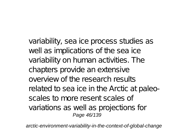variability, sea ice process studies as well as implications of the sea ice variability on human activities. The chapters provide an extensive overview of the research results related to sea ice in the Arctic at paleoscales to more resent scales of variations as well as projections for Page 46/139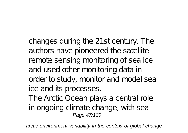changes during the 21st century. The authors have pioneered the satellite remote sensing monitoring of sea ice and used other monitoring data in order to study, monitor and model sea ice and its processes.

The Arctic Ocean plays a central role in ongoing climate change, with sea Page 47/139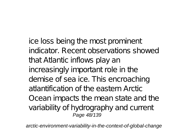ice loss being the most prominent indicator. Recent observations showed that Atlantic inflows play an increasingly important role in the demise of sea ice. This encroaching atlantification of the eastern Arctic Ocean impacts the mean state and the variability of hydrography and current Page 48/139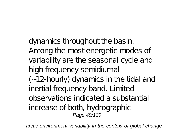dynamics throughout the basin. Among the most energetic modes of variability are the seasonal cycle and high frequency semidiurnal (∼12-hourly) dynamics in the tidal and inertial frequency band. Limited observations indicated a substantial increase of both, hydrographic Page 49/139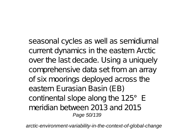seasonal cycles as well as semidiurnal current dynamics in the eastern Arctic over the last decade. Using a uniquely comprehensive data set from an array of six moorings deployed across the eastern Eurasian Basin (EB) continental slope along the 125°E meridian between 2013 and 2015 Page 50/139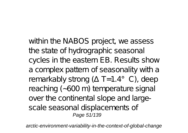within the NABOS project, we assess the state of hydrographic seasonal cycles in the eastern EB. Results show a complex pattern of seasonality with a remarkably strong ( $T=1.4^{\circ}$  C), deep reaching (∼600 m) temperature signal over the continental slope and largescale seasonal displacements of Page 51/139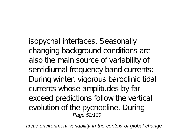isopycnal interfaces. Seasonally changing background conditions are also the main source of variability of semidiurnal frequency band currents: During winter, vigorous baroclinic tidal currents whose amplitudes by far exceed predictions follow the vertical evolution of the pycnocline. During Page 52/139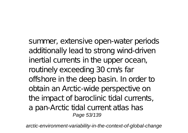summer, extensive open-water periods additionally lead to strong wind-driven inertial currents in the upper ocean, routinely exceeding 30 cm/s far offshore in the deep basin. In order to obtain an Arctic-wide perspective on the impact of baroclinic tidal currents, a pan-Arctic tidal current atlas has Page 53/139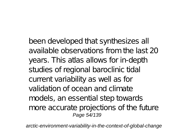been developed that synthesizes all available observations from the last 20 years. This atlas allows for in-depth studies of regional baroclinic tidal current variability as well as for validation of ocean and climate models, an essential step towards more accurate projections of the future Page 54/139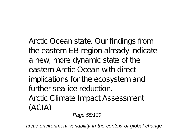Arctic Ocean state. Our findings from the eastern EB region already indicate a new, more dynamic state of the eastern Arctic Ocean with direct implications for the ecosystem and further sea-ice reduction. Arctic Climate Impact Assessment  $(ACIA)$ 

Page 55/139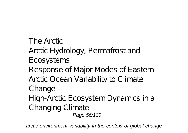The Arctic Arctic Hydrology, Permafrost and Ecosystems Response of Major Modes of Eastern Arctic Ocean Variability to Climate Change High-Arctic Ecosystem Dynamics in a Changing Climate Page 56/139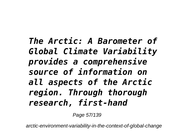*The Arctic: A Barometer of Global Climate Variability provides a comprehensive source of information on all aspects of the Arctic region. Through thorough research, first-hand*

Page 57/139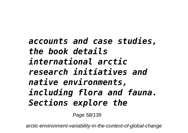*accounts and case studies, the book details international arctic research initiatives and native environments, including flora and fauna. Sections explore the*

Page 58/139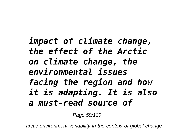### *impact of climate change, the effect of the Arctic on climate change, the environmental issues facing the region and how it is adapting. It is also a must-read source of*

Page 59/139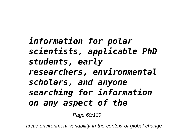*information for polar scientists, applicable PhD students, early researchers, environmental scholars, and anyone searching for information on any aspect of the*

Page 60/139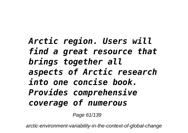# *Arctic region. Users will find a great resource that brings together all aspects of Arctic research into one concise book. Provides comprehensive coverage of numerous*

Page 61/139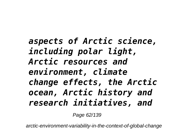*aspects of Arctic science, including polar light, Arctic resources and environment, climate change effects, the Arctic ocean, Arctic history and research initiatives, and*

Page 62/139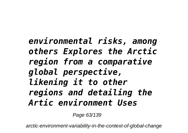*environmental risks, among others Explores the Arctic region from a comparative global perspective, likening it to other regions and detailing the Artic environment Uses*

Page 63/139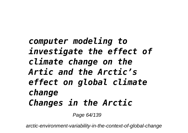# *computer modeling to investigate the effect of climate change on the Artic and the Arctic's effect on global climate change Changes in the Arctic*

Page 64/139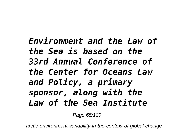## *Environment and the Law of the Sea is based on the 33rd Annual Conference of the Center for Oceans Law and Policy, a primary sponsor, along with the Law of the Sea Institute*

Page 65/139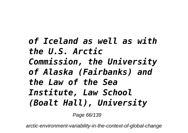*of Iceland as well as with the U.S. Arctic Commission, the University of Alaska (Fairbanks) and the Law of the Sea Institute, Law School (Boalt Hall), University*

Page 66/139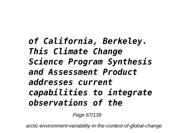*of California, Berkeley. This Climate Change Science Program Synthesis and Assessment Product addresses current capabilities to integrate observations of the*

Page 67/139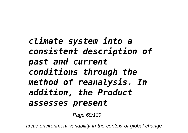*climate system into a consistent description of past and current conditions through the method of reanalysis. In addition, the Product assesses present*

Page 68/139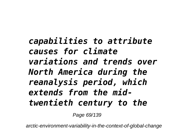*capabilities to attribute causes for climate variations and trends over North America during the reanalysis period, which extends from the midtwentieth century to the*

Page 69/139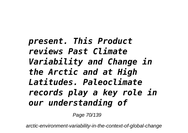*present. This Product reviews Past Climate Variability and Change in the Arctic and at High Latitudes. Paleoclimate records play a key role in our understanding of*

Page 70/139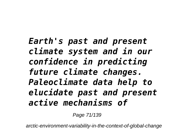*Earth's past and present climate system and in our confidence in predicting future climate changes. Paleoclimate data help to elucidate past and present active mechanisms of*

Page 71/139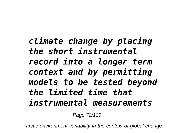*climate change by placing the short instrumental record into a longer term context and by permitting models to be tested beyond the limited time that instrumental measurements*

Page 72/139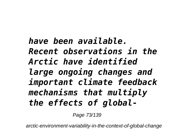*have been available. Recent observations in the Arctic have identified large ongoing changes and important climate feedback mechanisms that multiply the effects of global-*

Page 73/139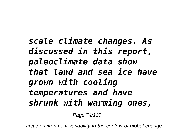*scale climate changes. As discussed in this report, paleoclimate data show that land and sea ice have grown with cooling temperatures and have shrunk with warming ones,*

Page 74/139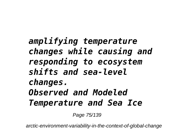## *amplifying temperature changes while causing and responding to ecosystem shifts and sea-level changes. Observed and Modeled Temperature and Sea Ice*

Page 75/139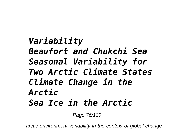*Variability Beaufort and Chukchi Sea Seasonal Variability for Two Arctic Climate States Climate Change in the Arctic Sea Ice in the Arctic*

Page 76/139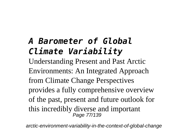## *A Barometer of Global Climate Variability*

Understanding Present and Past Arctic Environments: An Integrated Approach from Climate Change Perspectives provides a fully comprehensive overview of the past, present and future outlook for this incredibly diverse and important Page 77/139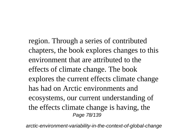region. Through a series of contributed chapters, the book explores changes to this environment that are attributed to the effects of climate change. The book explores the current effects climate change has had on Arctic environments and ecosystems, our current understanding of the effects climate change is having, the Page 78/139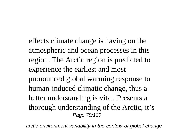effects climate change is having on the atmospheric and ocean processes in this region. The Arctic region is predicted to experience the earliest and most pronounced global warming response to human-induced climatic change, thus a better understanding is vital. Presents a thorough understanding of the Arctic, it's Page 79/139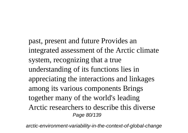past, present and future Provides an integrated assessment of the Arctic climate system, recognizing that a true understanding of its functions lies in appreciating the interactions and linkages among its various components Brings together many of the world's leading Arctic researchers to describe this diverse Page 80/139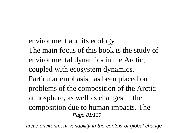environment and its ecology The main focus of this book is the study of environmental dynamics in the Arctic, coupled with ecosystem dynamics. Particular emphasis has been placed on problems of the composition of the Arctic atmosphere, as well as changes in the composition due to human impacts. The Page 81/139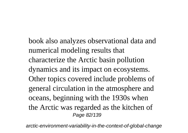book also analyzes observational data and numerical modeling results that characterize the Arctic basin pollution dynamics and its impact on ecosystems. Other topics covered include problems of general circulation in the atmosphere and oceans, beginning with the 1930s when the Arctic was regarded as the kitchen of Page 82/139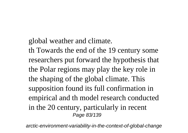global weather and climate.

th Towards the end of the 19 century some researchers put forward the hypothesis that the Polar regions may play the key role in the shaping of the global climate. This supposition found its full confirmation in empirical and th model research conducted in the 20 century, particularly in recent Page 83/139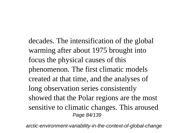decades. The intensification of the global warming after about 1975 brought into focus the physical causes of this phenomenon. The first climatic models created at that time, and the analyses of long observation series consistently showed that the Polar regions are the most sensitive to climatic changes. This aroused Page 84/139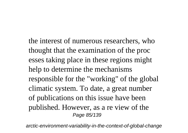the interest of numerous researchers, who thought that the examination of the proc esses taking place in these regions might help to determine the mechanisms responsible for the "working" of the global climatic system. To date, a great number of publications on this issue have been published. However, as a re view of the Page 85/139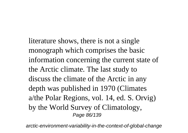literature shows, there is not a single monograph which comprises the basic information concerning the current state of the Arctic climate. The last study to discuss the climate of the Arctic in any depth was published in 1970 (Climates a/the Polar Regions, vol. 14, ed. S. Orvig) by the World Survey of Climatology, Page 86/139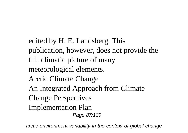edited by H. E. Landsberg. This publication, however, does not provide the full climatic picture of many meteorological elements. Arctic Climate Change An Integrated Approach from Climate Change Perspectives Implementation Plan Page 87/139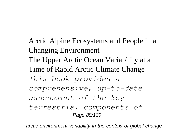Arctic Alpine Ecosystems and People in a Changing Environment The Upper Arctic Ocean Variability at a Time of Rapid Arctic Climate Change *This book provides a comprehensive, up-to-date assessment of the key terrestrial components of* Page 88/139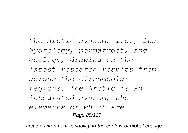*the Arctic system, i.e., its hydrology, permafrost, and ecology, drawing on the latest research results from across the circumpolar regions. The Arctic is an integrated system, the elements of which are* Page 89/139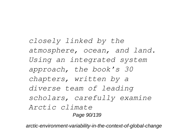*closely linked by the atmosphere, ocean, and land. Using an integrated system approach, the book's 30 chapters, written by a diverse team of leading scholars, carefully examine Arctic climate* Page 90/139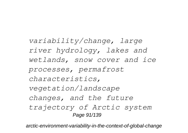*variability/change, large river hydrology, lakes and wetlands, snow cover and ice processes, permafrost characteristics, vegetation/landscape changes, and the future trajectory of Arctic system* Page 91/139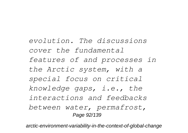*evolution. The discussions cover the fundamental features of and processes in the Arctic system, with a special focus on critical knowledge gaps, i.e., the interactions and feedbacks between water, permafrost,* Page 92/139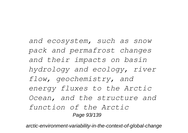*and ecosystem, such as snow pack and permafrost changes and their impacts on basin hydrology and ecology, river flow, geochemistry, and energy fluxes to the Arctic Ocean, and the structure and function of the Arctic* Page 93/139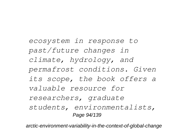*ecosystem in response to past/future changes in climate, hydrology, and permafrost conditions. Given its scope, the book offers a valuable resource for researchers, graduate students, environmentalists,* Page 94/139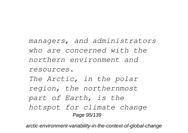*managers, and administrators who are concerned with the northern environment and resources. The Arctic, in the polar region, the northernmost part of Earth, is the hotspot for climate change* Page 95/139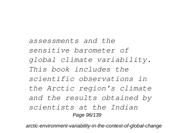*assessments and the sensitive barometer of global climate variability. This book includes the scientific observations in the Arctic region's climate and the results obtained by scientists at the Indian* Page 96/139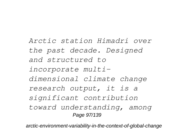*Arctic station Himadri over the past decade. Designed and structured to incorporate multidimensional climate change research output, it is a significant contribution toward understanding, among* Page 97/139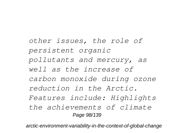*other issues, the role of persistent organic pollutants and mercury, as well as the increase of carbon monoxide during ozone reduction in the Arctic. Features include: Highlights the achievements of climate* Page 98/139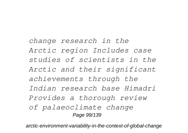*change research in the Arctic region Includes case studies of scientists in the Arctic and their significant achievements through the Indian research base Himadri Provides a thorough review of palaeoclimate change* Page 99/139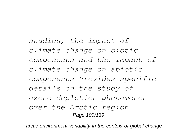*studies, the impact of climate change on biotic components and the impact of climate change on abiotic components Provides specific details on the study of ozone depletion phenomenon over the Arctic region* Page 100/139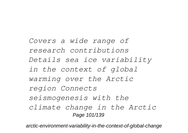*Covers a wide range of research contributions Details sea ice variability in the context of global warming over the Arctic region Connects seismogenesis with the climate change in the Arctic* Page 101/139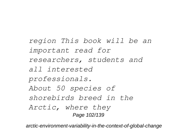*region This book will be an important read for researchers, students and all interested professionals. About 50 species of shorebirds breed in the Arctic, where they* Page 102/139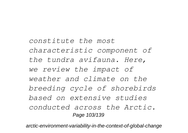*constitute the most characteristic component of the tundra avifauna. Here, we review the impact of weather and climate on the breeding cycle of shorebirds based on extensive studies conducted across the Arctic.* Page 103/139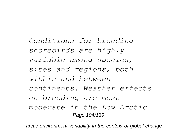*Conditions for breeding shorebirds are highly variable among species, sites and regions, both within and between continents. Weather effects on breeding are most moderate in the Low Arctic* Page 104/139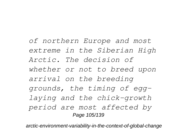*of northern Europe and most extreme in the Siberian High Arctic. The decision of whether or not to breed upon arrival on the breeding grounds, the timing of egglaying and the chick-growth period are most affected by* Page 105/139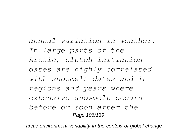*annual variation in weather. In large parts of the Arctic, clutch initiation dates are highly correlated with snowmelt dates and in regions and years where extensive snowmelt occurs before or soon after the* Page 106/139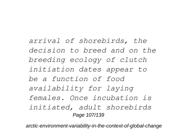*arrival of shorebirds, the decision to breed and on the breeding ecology of clutch initiation dates appear to be a function of food availability for laying females. Once incubation is initiated, adult shorebirds* Page 107/139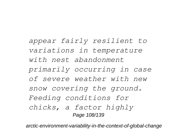*appear fairly resilient to variations in temperature with nest abandonment primarily occurring in case of severe weather with new snow covering the ground. Feeding conditions for chicks, a factor highly* Page 108/139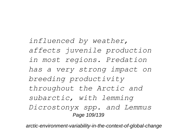*influenced by weather, affects juvenile production in most regions. Predation has a very strong impact on breeding productivity throughout the Arctic and subarctic, with lemming Dicrostonyx spp. and Lemmus* Page 109/139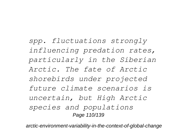*spp. fluctuations strongly influencing predation rates, particularly in the Siberian Arctic. The fate of Arctic shorebirds under projected future climate scenarios is uncertain, but High Arctic species and populations* Page 110/139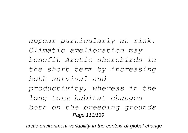*appear particularly at risk. Climatic amelioration may benefit Arctic shorebirds in the short term by increasing both survival and productivity, whereas in the long term habitat changes both on the breeding grounds* Page 111/139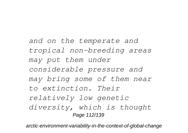*and on the temperate and tropical non-breeding areas may put them under considerable pressure and may bring some of them near to extinction. Their relatively low genetic diversity, which is thought* Page 112/139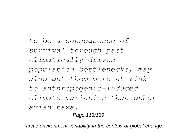*to be a consequence of survival through past climatically-driven population bottlenecks, may also put them more at risk to anthropogenic-induced climate variation than other avian taxa.* Page 113/139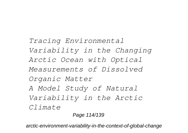*Tracing Environmental Variability in the Changing Arctic Ocean with Optical Measurements of Dissolved Organic Matter A Model Study of Natural Variability in the Arctic Climate*

Page 114/139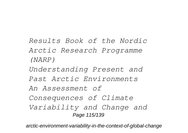- *Results Book of the Nordic Arctic Research Programme (NARP)*
- *Understanding Present and*
- *Past Arctic Environments*
- *An Assessment of*
- *Consequences of Climate*
- *Variability and Change and* Page 115/139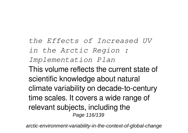*the Effects of Increased UV in the Arctic Region : Implementation Plan* This volume reflects the current state of scientific knowledge about natural climate variability on decade-to-century time scales. It covers a wide range of relevant subjects, including the Page 116/139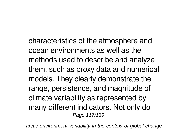characteristics of the atmosphere and ocean environments as well as the methods used to describe and analyze them, such as proxy data and numerical models. They clearly demonstrate the range, persistence, and magnitude of climate variability as represented by many different indicators. Not only do Page 117/139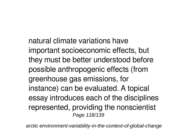natural climate variations have important socioeconomic effects, but they must be better understood before possible anthropogenic effects (from greenhouse gas emissions, for instance) can be evaluated. A topical essay introduces each of the disciplines represented, providing the nonscientist Page 118/139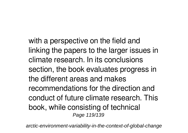with a perspective on the field and linking the papers to the larger issues in climate research. In its conclusions section, the book evaluates progress in the different areas and makes recommendations for the direction and conduct of future climate research. This book, while consisting of technical Page 119/139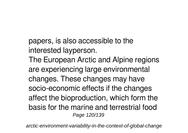papers, is also accessible to the interested layperson.

The European Arctic and Alpine regions are experiencing large environmental changes. These changes may have socio-economic effects if the changes affect the bioproduction, which form the basis for the marine and terrestrial food Page 120/139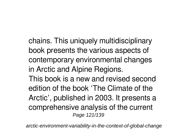chains. This uniquely multidisciplinary book presents the various aspects of contemporary environmental changes in Arctic and Alpine Regions.

This book is a new and revised second edition of the book 'The Climate of the Arctic', published in 2003. It presents a comprehensive analysis of the current Page 121/139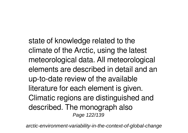state of knowledge related to the climate of the Arctic, using the latest meteorological data. All meteorological elements are described in detail and an up-to-date review of the available literature for each element is given. Climatic regions are distinguished and described. The monograph also Page 122/139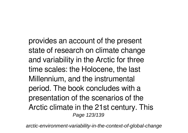provides an account of the present state of research on climate change and variability in the Arctic for three time scales: the Holocene, the last Millennium, and the instrumental period. The book concludes with a presentation of the scenarios of the Arctic climate in the 21st century. This Page 123/139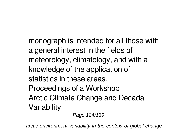monograph is intended for all those with a general interest in the fields of meteorology, climatology, and with a knowledge of the application of statistics in these areas. Proceedings of a Workshop Arctic Climate Change and Decadal **Variability** 

Page 124/139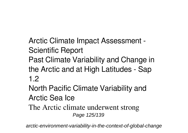Arctic Climate Impact Assessment - Scientific Report Past Climate Variability and Change in the Arctic and at High Latitudes - Sap 1.2 North Pacific Climate Variability and

- Arctic Sea Ice
- The Arctic climate underwent strong Page 125/139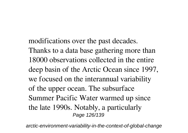modifications over the past decades. Thanks to a data base gathering more than 18000 observations collected in the entire deep basin of the Arctic Ocean since 1997, we focused on the interannual variability of the upper ocean. The subsurface Summer Pacific Water warmed up since the late 1990s. Notably, a particularly Page 126/139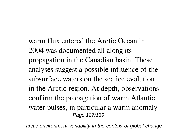warm flux entered the Arctic Ocean in 2004 was documented all along its propagation in the Canadian basin. These analyses suggest a possible influence of the subsurface waters on the sea ice evolution in the Arctic region. At depth, observations confirm the propagation of warm Atlantic water pulses, in particular a warm anomaly Page 127/139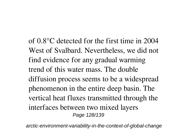of 0.8°C detected for the first time in 2004 West of Svalbard. Nevertheless, we did not find evidence for any gradual warming trend of this water mass. The double diffusion process seems to be a widespread phenomenon in the entire deep basin. The vertical heat fluxes transmitted through the interfaces between two mixed layers Page 128/139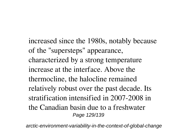increased since the 1980s, notably because of the "supersteps" appearance, characterized by a strong temperature increase at the interface. Above the thermocline, the halocline remained relatively robust over the past decade. Its stratification intensified in 2007-2008 in the Canadian basin due to a freshwater Page 129/139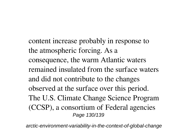content increase probably in response to the atmospheric forcing. As a consequence, the warm Atlantic waters remained insulated from the surface waters and did not contribute to the changes observed at the surface over this period. The U.S. Climate Change Science Program (CCSP), a consortium of Federal agencies Page 130/139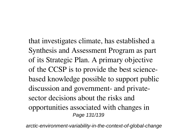that investigates climate, has established a Synthesis and Assessment Program as part of its Strategic Plan. A primary objective of the CCSP is to provide the best sciencebased knowledge possible to support public discussion and government- and privatesector decisions about the risks and opportunities associated with changes in Page 131/139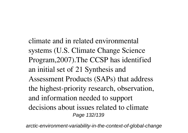climate and in related environmental systems (U.S. Climate Change Science Program,2007).The CCSP has identified an initial set of 21 Synthesis and Assessment Products (SAPs) that address the highest-priority research, observation, and information needed to support decisions about issues related to climate Page 132/139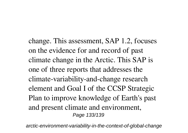change. This assessment, SAP 1.2, focuses on the evidence for and record of past climate change in the Arctic. This SAP is one of three reports that addresses the climate-variability-and-change research element and Goal I of the CCSP Strategic Plan to improve knowledge of Earth's past and present climate and environment, Page 133/139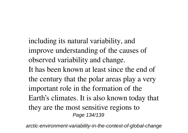including its natural variability, and improve understanding of the causes of observed variability and change. It has been known at least since the end of the century that the polar areas play a very important role in the formation of the Earth's climates. It is also known today that they are the most sensitive regions to Page 134/139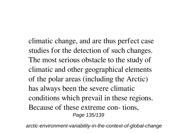climatic change, and are thus perfect case studies for the detection of such changes. The most serious obstacle to the study of climatic and other geographical elements of the polar areas (including the Arctic) has always been the severe climatic conditions which prevail in these regions. Because of these extreme con- tions, Page 135/139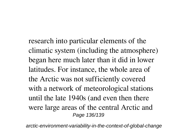research into particular elements of the climatic system (including the atmosphere) began here much later than it did in lower latitudes. For instance, the whole area of the Arctic was not sufficiently covered with a network of meteorological stations until the late 1940s (and even then there were large areas of the central Arctic and Page 136/139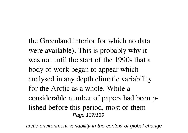the Greenland interior for which no data were available). This is probably why it was not until the start of the 1990s that a body of work began to appear which analysed in any depth climatic variability for the Arctic as a whole. While a considerable number of papers had been plished before this period, most of them Page 137/139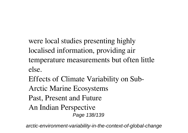- were local studies presenting highly localised information, providing air temperature measurements but often little else.
- Effects of Climate Variability on Sub-
- Arctic Marine Ecosystems
- Past, Present and Future
- An Indian Perspective Page 138/139